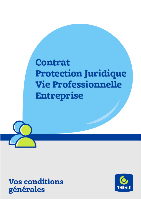# **Contrat Protection Juridique Vie Professionnelle Entreprise**



**Vos conditions** générales

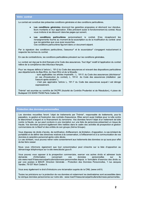| <b>Votre contrat</b> |                                                                                                                                                                                                                                                                                                  |
|----------------------|--------------------------------------------------------------------------------------------------------------------------------------------------------------------------------------------------------------------------------------------------------------------------------------------------|
|                      | Le contrat est constitué des présentes conditions générales et des conditions particulières.                                                                                                                                                                                                     |
|                      | Les conditions générales énoncent les garanties proposées et décrivent leur étendue,<br>leurs montants et leur application. Elles précisent aussi le fonctionnement du contrat. Nous<br>vous invitons à les découvrir dans les pages qui suivent.                                                |
|                      | Les conditions particulières personnalisent le contrat. Elles<br>récapitulent les<br>renseignements fournis au moment de la souscription ou de la modification du contrat ainsi<br>que les garanties que vous avez souscrites.<br>Ces conditions particulières figurent dans un document séparé. |
|                      | Par la signature des conditions particulières, l'assureur* et le souscripteur* s'engagent mutuellement à<br>respecter les termes du contrat.                                                                                                                                                     |
|                      | En cas de contradictions, les conditions particulières prévalent sur les conditions générales.                                                                                                                                                                                                   |
|                      | Le contrat est régi par le droit français et le Code des assurances. Tout litige* relatif à l'application du contrat<br>relève de la compétence des tribunaux français.                                                                                                                          |
|                      | Pour les risques définis à l'article L. 191-2 du Code des assurances et relevant des dispositions particulières<br>aux départements du Bas-Rhin, du Haut-Rhin et de la Moselle :                                                                                                                 |
|                      | - sont applicables les articles impératifs : L. 191-5 du Code des assurances (déchéance*<br>en cas d'inexécution du contrat), L. 191-6 du Code des assurances (résiliation par<br>l'assuré après sinistre*);                                                                                     |
|                      | - n'est pas applicable l'article L. 191-7 du Code des assurances auquel il est dérogé<br>expressément.                                                                                                                                                                                           |
|                      | Thémis* est soumise au contrôle de l'ACPR (Autorité de Contrôle Prudentiel et de Résolution), 4 place de<br>Budapest CS 92459 75436 Paris Cedex 09.                                                                                                                                              |
|                      |                                                                                                                                                                                                                                                                                                  |

#### Protection des données personnelles

Les données recueillies feront l'objet de traitements par Thémis\*, responsable de traitements, pour la passation, la gestion et l'exécution des contrats d'assurance. Elles seront aussi traitées pour la lutte contre le blanchiment d'argent et le financement du terrorisme. Vos données feront l'objet d'un traitement de lutte contre la fraude, ce qui peut conduire à une inscription sur une liste de personnes présentant un risque de fraude. Vos données pourront également être traitées dans le cadre des activités de prospection et gestion commerciales de la Macif et des entités de son groupe (Aéma Groupe).

Vous disposez de droits d'accès, de rectification, d'effacement, de limitation, d'opposition, le cas échéant de portabilité et de définir des directives relatives à la conservation, à l'effacement et à la communication de vos données à caractère personnel après votre décès.

Le cas échéant, vous pouvez retirer votre consentement aux traitements des données ce qui aura pour effet de les faire cesser.

Nous vous informons également que tout consommateur peut s'inscrire sur la liste d'opposition au démarchage téléphonique sur le site www.bloctel.gouv.fr.

Vous pouvez vous opposer à la prospection commerciale, exercer vos autres droits et adresser toute personnelles demande d'information concernant données **VOS**  $SUT$ le site www.macif.fr/assurance/particuliers/donnees-personnelles depuis le formulaire d'exercice des droits ou par voie postale à MACIF, Direction Générale - Protection des Données Personnelles, 1 rue Jacques Vandier, 79 037 Niort Cedex 9.

Vous avez également le droit d'introduire une réclamation auprès de la CNIL (www.cnil.fr).

Toutes les précisions sur la protection de vos données et notamment les destinataires sont accessibles dans la rubrique données personnelles sur notre site : www.macif.fr/assurance/particuliers/donnees-personnelles.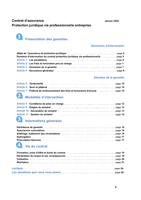Janvier 2022

# **Contrat d'assurance** Protection juridique vie professionnelle entreprise



# **Domaines d'intervention**

| Objet de l'assurance de protection juridique (et al., and alle survey and survey and spage 5                    |  |
|-----------------------------------------------------------------------------------------------------------------|--|
|                                                                                                                 |  |
|                                                                                                                 |  |
|                                                                                                                 |  |
|                                                                                                                 |  |
| Article 4 - Exclusions générales (and the context of the context of the context of the context of the context o |  |

# Etendue de la garantie

# 2 Modalités d'intervention

# 8 Informations générales

# 4 Vie du contrat

| Formation, prise d'effet et durée du contrat (et al., and alle al., and alle al., and alle al., and alle al., |
|---------------------------------------------------------------------------------------------------------------|
|                                                                                                               |
|                                                                                                               |
|                                                                                                               |
|                                                                                                               |
|                                                                                                               |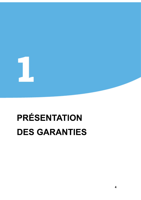# **PRÉSENTATION DES GARANTIES**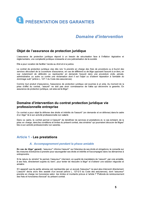

# **Domaine d'intervention**

# Objet de l'assurance de protection juridique

**Example 12 PRÉSENTATION DES GARANTIES<br>
Domaine d'intervention<br>
Objet de l'assurance de protection juridique<br>
L'assurance de protection juridique<br>
L'assurance de protection juridique<br>
L'assurance de protection juridique<br>
L** services decoulant de la convertive d'assuraurne, en cas de differend ou de ligne geposart l'assurance de la mission de la constantine en definient de la mission de la mission de la constantine de la constantine de la cons

prise d'effet du contrat, l'assuré\* ne doit pas avoir connaissance de l'aléa qui déclenche la garantie. En assurance de protection juridique, cet aléa est le litige\*.

prendra en charge les honoraires selon les limites et montants prévus à l'article 7 "Plafonds de remboursement des frais et honoraires d'avocat" du présent contrat.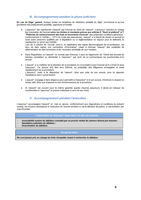# **B. Accompagnement pendant la phase judiciaire**

En cas de litige\* garanti, lorsque toutes les tentatives de résolution amiable du litige\* ont échoué et qu'une procédure est juridiquement possible, opportune et fondée :

- L'assureur\* fait représenter l'assuré\* par l'avocat du choix de l'assuré\*. L'assureur\* prendra en charge les honoraires de l'avocat selon les limites et montants prévus aux articles 6 "Seuil et plafond" et 7 "Plafonds de remboursement des frais et honoraires d'avocat" des présentes conditions générales. Conformément à l'article L. 127-3 du Code des assurances, l'assuré\* a la liberté de choisir un avocat ou toute autre personne qualifiée par la législation ou la réglementation en vigueur pour le défendre, le représenter ou servir ses intérêts. Lors de la saisine de l'avocat, celui-ci, en application des règles déontologiques de sa profession, est tenu de faire signer une convention d'honoraires\* visant à informer l'assuré\* des modalités de détermination de ses honoraires et de l'évolution prévisible de leur montant.
- Dans l'hypothèse où l'assuré\* ne connait pas d'avocat, il peut se rapprocher de l'Ordre des avocats du barreau compétent ou demander à l'assureur\*, par écrit, de lui communiquer les coordonnées d'un avocat.
- L'assuré\* a la maîtrise de la direction de la procédure en concertation avec l'avocat qu'il a choisi et avec l'assureur\*. Ce dernier doit être tenu informé, au préalable, des diligences envisagées et avisé réqulièrement de la procédure. L'assureur\* reste à la disposition de l'assuré\*, ainsi que celle de son avocat, pour lui apporter l'assistance dont il aurait besoin.
- L'assuré\* s'engage à faire diligence pour permettre à l'assureur\* et à son avocat, d'instruire le dossier en temps utile, ainsi que d'assurer le bon fonctionnement de la procédure.
- Si l'assuré\* est couvert pour la même garantie auprès d'autres assureurs, il devra en indiquer les coordonnées à l'assureur\* et pourra s'adresser à celui de son choix.

# C. Accompagnement pendant l'exécution

L'assureur\* accompagne l'assuré\* et met en œuvre, conformément aux dispositions et conditions du présent contrat, les moyens nécessaires à l'exécution de l'accord amiable ou de la décision de justice, le cas échéant, par voie d'huissier.

#### L'intervention de l'assureur\* cesse dans l'un des cas suivants :

- insolvabilité notoire du débiteur constaté par un procès verbal de carence dressé par huissier ;
- liquidation judiciaire du débiteur ;
- incarcération du débiteur.

#### Ce qui est exclu

Ne sont jamais pris en charge les frais d'enquête visant à rechercher le débiteur.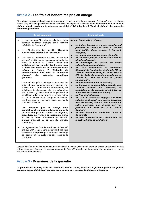# Article 2 - Les frais et honoraires pris en charge

Si la phase amiable n'aboutit pas favorablement, et que la garantie est acquise, l'assureur\* prend en charge, devant les juridictions judiciaires ou administratives, les dépenses suivantes, dans les conditions et la limite du plafond global maximum de dépenses par sinistre\* fixé à l'article 6 "Seuil et plafond" des présentes conditions générales:

| Ce qui est garanti                                                                                                                                                                                                                                                                                                                                                                                                                                                                                                                                                                                                                                                                                                                                                                                                                                                                                                                                                                                                                                                                                                                                                                                                                                                                                                                                                                                                                                                                                                                                                                                                  | Ce qui est exclu                                                                                                                                                                                                                                                                                                                                                                                                                                                                                                                                                                                                                                                                                                                                                                                                                                                                                                                                                                                                                                                                                                                                                                                                                                                                                                                                                                                                                                                                                   |
|---------------------------------------------------------------------------------------------------------------------------------------------------------------------------------------------------------------------------------------------------------------------------------------------------------------------------------------------------------------------------------------------------------------------------------------------------------------------------------------------------------------------------------------------------------------------------------------------------------------------------------------------------------------------------------------------------------------------------------------------------------------------------------------------------------------------------------------------------------------------------------------------------------------------------------------------------------------------------------------------------------------------------------------------------------------------------------------------------------------------------------------------------------------------------------------------------------------------------------------------------------------------------------------------------------------------------------------------------------------------------------------------------------------------------------------------------------------------------------------------------------------------------------------------------------------------------------------------------------------------|----------------------------------------------------------------------------------------------------------------------------------------------------------------------------------------------------------------------------------------------------------------------------------------------------------------------------------------------------------------------------------------------------------------------------------------------------------------------------------------------------------------------------------------------------------------------------------------------------------------------------------------------------------------------------------------------------------------------------------------------------------------------------------------------------------------------------------------------------------------------------------------------------------------------------------------------------------------------------------------------------------------------------------------------------------------------------------------------------------------------------------------------------------------------------------------------------------------------------------------------------------------------------------------------------------------------------------------------------------------------------------------------------------------------------------------------------------------------------------------------------|
| Le coût des enquêtes, des consultations et des<br>constats d'huissier engagés avec l'accord<br>préalable de l'assureur*;<br>Le coût des expertises amiables diligentées<br>avec l'accord préalable de l'assureur*;<br>Les frais et honoraires d'avocat ou de tout<br>sachant* habilité par les textes pour défendre les<br>droits et intérêts de l'assuré* devant une<br>juridiction judiciaire ou administrative ceci dans<br>la limite des montants de remboursements<br>"Plafonds<br>prévus<br>à<br>l'article<br>7<br>de<br>des frais et honoraires<br>remboursement<br>d'avocat"<br>conditions<br>des<br>présentes<br>générales.<br>Les montants pris en charge comprennent les<br>frais habituels correspondant à la gestion d'un<br>dossier (ex. : frais de de déplacement, de<br>téléphone, de photocopie, etc), la préparation<br>des dossiers (conclusions) et la plaidoirie et<br>constituent la limite de la prise en charge même<br>en cas de pluralité ou de changement d'avocats.<br>Les honoraires et frais sont réglés une fois la<br>prestation effectuée.<br>montants<br>Les<br>pris<br>en<br>charge<br>sont<br>cumulables et représentent le maximum de la<br>prise en charge de l'assureur* par diligence,<br>procédure, intervention ou juridiction même<br>en cas de renvoi d'audience, si l'assuré*<br>change d'avocat ou en cas de pluralité<br>d'avocats :<br>Le règlement des frais de procédure de l'assuré*<br>dits dépens*, comprenant, notamment, les frais<br>d'huissiers, d'expertise judiciaire mis à la charge<br>de l'assuré* et, ce quelle que soit l'issue de la<br>procédure. | Ne sont jamais pris en charge :<br>les frais et honoraires engagés sans l'accord<br>$\bullet$<br>préalable de l'assureur* (sauf si l'assuré*<br>peut justifier d'une urgence à les avoir<br>engagés);<br>les condamnations en principal et intérêts ;<br>$\bullet$<br>les amendes pénales et civiles ainsi que les<br>$\bullet$<br>pénalités de retard;<br>dommages<br>et intérêts<br>les<br>autres<br>ou<br>$\bullet$<br>indemnités compensatoires ;<br>irrépétibles*<br>les<br>frais<br>indemnités<br>ou<br>$\bullet$<br>découlant de l'application de l'article 700 du<br>Code de procédure civile, de l'article 475-1 et<br>375 du Code de procédure pénale ou de<br>l'article L. 761-1 du Code de justice<br>administrative:<br>les frais de constitution de dossier :<br>$\bullet$<br>les honoraires de consultation engagés sans<br>$\bullet$<br>l'accord préalable<br>de<br>l'assureur*,<br>de<br>postulation et de résultats (c'est-à-dire les<br>honoraires liés au résultat obtenu) ;<br>les frais de déplacement ;<br>$\bullet$<br>les frais et honoraires engagés à la seule<br>$\bullet$<br>initiative de l'assuré* pour toute intervention<br>d'expert amiable, sachant, consultant ou tout<br>autre intervenant non désigné par voie<br>judiciaire (dont ceux liés à un constat<br>d'huissier);<br>les frais résultant de la rédaction d'actes ou<br>$\bullet$<br>de contrats ;<br>les frais de recherche ou d'identification de<br>$\bullet$<br>la partie adverse ou du débiteur. |

Lorsque l'action en justice est commune à des tiers\* au contrat, l'assureur\* prend en charge uniquement les frais et honoraires qui découlent de la seule défense de l'assuré\*, en effectuant une répartition au prorata du nombre des parties intervenantes.

# Article 3 - Domaines de la garantie

La garantie est acquise, dans les conditions, limites, seuils, montants et plafonds prévus au présent contrat, s'agissant de litiges\* dans les seuls domaines ci-dessous limitativement indiqués.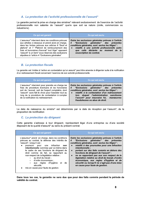# A. La protection de l'activité professionnelle de l'assuré\*

La garantie permet la prise en charge des sinistres\* relevant exclusivement de l'exercice de l'activité professionnelle non salariée de l'assuré\* quelle que soit sa nature (civile, commerciale ou industrielle).

| Ce qui est garanti                                                                                                                                                                                                                                                                                                                                                          | Ce qui est exclu                                                                                                                                                                                                                                                     |
|-----------------------------------------------------------------------------------------------------------------------------------------------------------------------------------------------------------------------------------------------------------------------------------------------------------------------------------------------------------------------------|----------------------------------------------------------------------------------------------------------------------------------------------------------------------------------------------------------------------------------------------------------------------|
| L'assureur* intervient dans les conditions prévues<br>aux articles ci-dessous et prend alors en charge,<br>dans les limites prévues aux articles 6 "Seuil et<br>plafond" et 7 "Plafond de remboursement des<br>frais et honoraires d'avocat" tout litige* opposant<br>l'assuré* à un tiers* sous réserves des exclusions<br>stipulées à l'article 4 "Exclusions générales". | Outre les exclusions générales prévues à l'article<br>4 "Exclusions générales" des présentes<br>conditions générales, sont exclus les litiges* :<br>• relatifs à une activité professionelle autre<br>que celle déclarée au moment de la<br>souscription du contrat. |

# **B.** La protection fiscale

La garantie est limitée à l'action en contestation qu'un assuré\* peut être amenée à diligenter suite à la notification d'un redressement fiscal concernant l'exercice de son activité professionnelle.

| Ce qui est garanti                                                                                                                                                                                                                                                                                         | Ce qui est exclu                                                                                                                                                                                                                                                                                                                     |
|------------------------------------------------------------------------------------------------------------------------------------------------------------------------------------------------------------------------------------------------------------------------------------------------------------|--------------------------------------------------------------------------------------------------------------------------------------------------------------------------------------------------------------------------------------------------------------------------------------------------------------------------------------|
| L'assureur* intervient pour prendre en charge les<br>frais de procédure éventuels et les honoraires<br>soit de l'avocat, soit de l'expert comptable, dont<br>l'assuré* aura fait le choix pour l'assister tout au<br>long de la procédure de contestation à compter<br>de la notification du redressement. | Outre les exclusions générales prévues à l'article<br>4 "Exclusions générales" des présentes<br>conditions générales, sont exclus les litiges* :<br>relatifs à la contestation d'un redressement<br>$\bullet$<br>lors duquel l'administration sanctionne<br>l'assuré* pour mauvaise foi, manœuvres<br>frauduleuses ou abus de droit. |

La date de naissance du sinistre\* est déterminée par la date de réception par l'assuré\*, de la proposition de rectification.

# C. La protection du dirigeant

Cette garantie s'adresse à tout dirigeant, représentant légal d'une entreprise ou d'une société disposant de la qualité d'assuré\* au sens du présent contrat.

| Ce qui est garanti                                                                                                                                                                                                                                                                                                                                                                                                                                                                                                            | Ce qui est exclu                                                                                                                                                                                                                                                                                                                                                                                                                                                                                                                                                  |
|-------------------------------------------------------------------------------------------------------------------------------------------------------------------------------------------------------------------------------------------------------------------------------------------------------------------------------------------------------------------------------------------------------------------------------------------------------------------------------------------------------------------------------|-------------------------------------------------------------------------------------------------------------------------------------------------------------------------------------------------------------------------------------------------------------------------------------------------------------------------------------------------------------------------------------------------------------------------------------------------------------------------------------------------------------------------------------------------------------------|
| L'assureur* prend en charge, dans les conditions<br>prévues au contrat, la défense des intérêts de<br>l'assuré*, lorsqu'il est :<br>poursuivi pour une infraction<br>non<br>intentionnelle commise par lui-même dans<br>le cadre de ses fonctions de dirigeant de<br>droit comme de fait, se rapportant au<br>non-respect de la législation relative :<br>au droit du travail ;<br>$\circ$<br>d'ordre économique :<br>$\circ$<br>aux règles d'hygiène et<br>de<br>$\circ$<br>sécurité.<br>mis en cause pour faute de gestion. | Outre les exclusions générales prévues à l'article<br>4 "Exclusions générales" des présentes<br>conditions générales, sont exclus les litiges* :<br>relatifs à des poursuites pour une infraction<br><i>intentionnelle:</i><br>portant sur des faits commis en dehors des<br>fonctions de dirigeant de l'assuré* :<br>ne se rapportant pas aux non respect de la<br>$\bullet$<br>législation relative au droit du travail, d'ordre<br>économique, aux regles d'hygiène et de<br>sécurité ou lorsqu'il ne s'agit pas d'une mise<br>en cause pour faute de gestion. |

Dans tous les cas, la garantie ne sera due que pour des faits commis pendant la période de validité du contrat.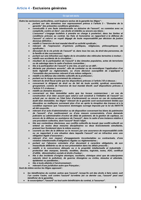# Article 4 - Exclusions générales

|                        | Ce qui est exclu                                                                                                                                                                      |
|------------------------|---------------------------------------------------------------------------------------------------------------------------------------------------------------------------------------|
|                        | Outre les exclusions particulières, sont toujours exclus de la garantie les litiges* :                                                                                                |
|                        | portant sur des domaines non expressement prévus à l'article 3 - "Domaine de la<br>garantie" des présentes conditions générales ;                                                     |
| $\bullet$              | consécutifs à une faute intentionnelle ou dolosive de l'assuré*, ou commise avec sa<br>complicité, contre un tiers*, ses droits et intérêts ou encore ses biens ;                     |
|                        | L'assureur* s'engage toutefois à prendre en charge à posteriori, dans les limites et                                                                                                  |
|                        | conditions prévues au contrat, les frais et honoraires se rapportant à la défense de                                                                                                  |
|                        | l'assuré* si celui-ci se voyait dégagé de toute responsabilité par décision de justice<br>devenue définitive ;                                                                        |
| $\bullet$              | relatifs à l'exercice de tout mandat électif ou activité syndicale ;                                                                                                                  |
| $\bullet$              | relevant de l'expression d'opinions politiques, religieuses, philosophiques ou                                                                                                        |
| $\bullet$              | syndicales;<br>découlant de la vie privée de l'assuré* et, dans tous les cas, du droit des personnes, de                                                                              |
|                        | la famille et des successions;                                                                                                                                                        |
| $\bullet$              | portant sur une infraction aux règles de la circulation des véhicules terrestres à moteur ;                                                                                           |
| $\bullet$<br>$\bullet$ | relatifs aux accidents de la circulation;<br>résultant de la participation de l'assuré* à des émeutes populaires, actes de terrorisme                                                 |
|                        | ou de sabotage dans le cadre d'actions concertées ;                                                                                                                                   |
| $\bullet$              | liés à la participation de l'assuré* à une rixe, un pari ou un défi ;                                                                                                                 |
| $\bullet$              | déclarés par plusieurs assurés*, afin de contester ou de revendiquer l'application d'un<br>texte législatif ou réglementaire, ou d'une décision susceptible de s'appliquer à          |
|                        | l'ensemble des personnes relevant d'une même catégorie ;                                                                                                                              |
| $\bullet$              | relatifs à la défense des intérêts collectifs de la profession ;<br>portant sur le risque recouvrement de créances ;                                                                  |
| $\bullet$<br>$\bullet$ | relevant du droit fiscal autre que les dispositions prévues à l'article 3 B ci-dessus ;                                                                                               |
| $\bullet$              | concernant le dirigeant de droit ou de fait de toute société, syndicat, association,                                                                                                  |
|                        | groupement, comme de l'exercice de tout mandat électif, sauf dispositions prévues à<br>l'article 3 C ci-dessus;                                                                       |
| $\bullet$              | relatifs au domaine douanier;                                                                                                                                                         |
| $\bullet$              | concernant un bien immobilier autre que les locaux commerciaux ; en cas de                                                                                                            |
|                        | construction d'un bien assuré (que celui-ci soit construit à l'initiative de l'assuré* ou<br>acheté par ce dernier en l'état futur d'achèvement) ou encore en cas de restauration     |
|                        | dudit bien immobilier, les litiges* relevant de la garantie sont exclusivement limités aux                                                                                            |
|                        | désordres ou malfaçons survenant plus d'un an après la réception des travaux et à la                                                                                                  |
|                        | condition expresse que l'assurance dommages ouvrage imposée par la loi du 04/01/78<br>ait été souscrite.                                                                              |
| $\bullet$              | relevant d'un acte d'administration ou de disposition concernant les biens du patrimoine                                                                                              |
|                        | de l'assuré*, d'un nantissement ou d'une mesure conservatoire, d'une demande                                                                                                          |
|                        | judiciaire ou administrative d'octroi de délai de paiement, de la gestion de capitaux, ou<br>encore de la défense ou assistance de l'assuré*, dans le cadre d'une instance relative à |
|                        | une procédure collective, dont l'assuré* ferait l'objet.                                                                                                                              |
| $\bullet$              | liés aux contentieux électoraux, aux conflits collectifs du travail, (par conflit collectif, on<br>entend au moins deux mesures disciplinaires ou deux licenciements simultanés,      |
|                        | prenant leur fondement dans la même source) ;                                                                                                                                         |
| $\bullet$              | couverts au titre de la défense ou le recours par une assurance de responsabilité civile                                                                                              |
|                        | ou se rapportant à une situation dans laquelle l'assuré* est en infraction avec une<br>obligation légale d'assurance ;                                                                |
| $\bullet$              | relevant d'un non respect d'engagements incontestables ou contractuels, d'une                                                                                                         |
|                        | violation intentionnelle d'obligations légales ou réglementaires ;                                                                                                                    |
| $\bullet$              | portant sur l'absence volontaire d'un document à caractère obligatoire, de son<br>inexactitude délibérée ou de sa non présentation dans les délais prescrits ;                        |
| $\bullet$              | relatifs à la concurrence déloyale ou à la propriété intellectuelle et industrielle :                                                                                                 |
|                        | protection des marques, brevets, modèles, dessins, logiciels, noms, AOC, certificat                                                                                                   |
| $\bullet$              | d'utilité, dénomination sociale et droits d'auteur ;<br>liés à des incidents d'origine atomique, nucléaire, chimique ainsi que de cataclysmes                                         |
|                        | naturels (dont la pollution), de guerres étrangères ou civiles, émeutes et attentats,                                                                                                 |
|                        | épidémies ou pandémies ;                                                                                                                                                              |
| $\bullet$              | liés à toute atteinte à l'environnement ;<br>relevant d'une juridiction autre que Française ;                                                                                         |
|                        | Sont de même exclus les litiges opposant :                                                                                                                                            |
|                        | les bénéficiaires du contrat, autres que l'assuré*, lorsqu'ils ont des droits à faire valoir, soit                                                                                    |
|                        | l'un contre l'autre, soit contre l'assuré* lui-même (en ce dernier cas, l'assuré* peut seul                                                                                           |

bénéficier de la garantie),<br>bénéficier de la garantie),<br>e le souscripteur\*, l'assuré\* ou tout autre bénéficiaire du contrat, à l'assureur\*.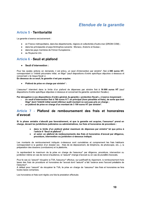# **Etendue de la garantie**

# **Article 5 - Territorialité**

La garantie s'exerce exclusivement :

- en France métropolitaine, dans les départements, régions et collectivités d'outre-mer (DROM-COM) :
- dans les principautés et pays limitrophes suivants : Monaco, Andorre et Suisse ;  $\bullet$
- dans les pays membres de l'Union Européenne ;
- au Royaume-Uni.

# **Article 6 - Seuil et plafond**

#### Seuil d'intervention :  $\bullet$

Pour les seules actions en demande, il est prévu, un seuil d'intervention par sinistre\*, fixé à 380 euros HT, correspondant à l'intérêt pécuniaire initial, en litige\* (sauf dispositions d'ordre spécifique stipulées ci-dessous et concernant « le risque fiscal »).

En dessous de ce seuil, la garantie n'est pas acquise.

Plafond de prise en charge par sinistre\* :

L'assureur\* intervient dans la limite d'un plafond de dépenses par sinistre fixé à 16 000 euros HT (sauf dispositions d'ordre spécifique stipulées ci-dessous et concernant la garantie «protection fiscale»).

Par dérogation à ces dispositions d'ordre général, la garantie « protection fiscal », s'exerce moyennant :

- un seuil d'intervention fixé à 760 euros H.T. en principal (hors pénalités et frais), de sorte que tout litige\* dont l'intérêt initial serait inférieur audit montant ne sera pas pris en charge ;
- un plafond de prise en charge d'un montant de 3 100 euros HT par sinistre\*.

# Article 7 - Plafond de remboursement des frais et honoraires d'avocat

Si la phase amiable n'aboutit pas favorablement, et que la garantie est acquise. l'assureur\* prend en charge, devant les juridictions judiciaires ou administratives, les frais et honoraires de procédure :

- dans la limite d'un plafond global maximum de dépenses par sinistre\* tel que prévu à l'article 6 "Seuil et plafond" :
- et selon un plafond de remboursements des frais et honoraires d'avocat par diligence, procédure, intervention ou juridiction ci-dessous indiqué.

Les montants de remboursement indiqués ci-dessous sont cumulables et comprennent les frais habituels correspondant à la gestion d'un dossier (ex. : frais de de déplacement, de téléphone, de photocopie, etc...), la préparation des dossiers (conclusions) et la plaidoirie.

Ils représentent le maximum de la prise en charge de l'assureur\* par diligence, procédure, intervention ou juridiction même en cas de renvoi d'audience, si l'assuré\* change d'avocat ou en cas de pluralité d'avocats.

Pour le cas où l'assuré\* récupére la TVA, l'assureur\* effectue, sur justificatif du règlement, le remboursement hors taxes des frais de procédure et honoraires de l'avocat dont l'assuré\* a fait l'avance avec l'accord préalable de l'assureur\*.

A défaut pour l'assuré\* de récupérer la TVA, la prise en charge de l'assureur\* des frais et honoraires se fera toutes taxes comprises.

Les honoraires et frais sont réglés une fois la prestation effectuée.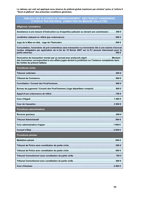Le tableau qui suit est appliqué sous réserve du plafond global maximum par sinistre\* prévu à l'article 6 "Seuil et plafond" des présentes conditions générales. Le tableau qui suit est appliqué sous réserve du plafond global maximum par sinistre\* prévu à l'article 6<br>
"Seuil et plafond" des présentes conditions générales.<br>
TABLEAU DES PLAFONDS DE REMBOURSEMENT DES FRAIS ET HONORA

nces / prestations

Assistance à une mesure d'instruction ou d'expertise iudicaire ou devant une commission……… 400 €  $\,$ 

0 -:

-;45556555655565565555555555554<889

Juge de la Mise en état. Juge de l'Exécution………………………………………………………………500 € [

Consultation. honoraires de pré-contentieux sans transaction ou honoraires liés à une saisine d'avocat  $\,$ l rendue obligataire par application de la loi du 19 février 2007 sur la PJ (avocat intervenant pour la  $\vert$  -- -;45555555555555555555555555555555555555554A<89

Honoraires de transaction menée par un avocat avec protocole signé...................................Montant des honoraires correspondant à une affaire iugée devant la iuridiction ou l'instance compétente dans les limites du présent tableau

| <b>Procédures civiles</b>                                                              |
|----------------------------------------------------------------------------------------|
|                                                                                        |
|                                                                                        |
|                                                                                        |
| Bureau de jugement / Conseil des Prud'hommes (Juge départiteur compris)…………………………800 € |
|                                                                                        |
|                                                                                        |
|                                                                                        |
| Procédures administratives                                                             |
|                                                                                        |
|                                                                                        |
|                                                                                        |
|                                                                                        |
| Procédures pénales                                                                     |
|                                                                                        |
| Tribunal de Police sans constitution de partie civile………………………………………………………500 €        |
|                                                                                        |
|                                                                                        |
| Tribunal Correctionnel avec constitution de partie civile…………………………………………………………800 €   |
|                                                                                        |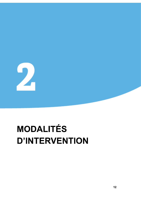

# **MODALITÉS D'INTERVENTION**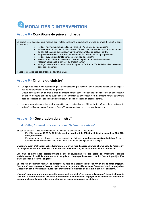# 2 MODALITÉS D'INTERVENTION

# Article 8 - Conditions de prise en charge

La garantie est acquise, sous réserve des limites, conditions et exclusions prévues au présent contrat et dans la mesure où :

- le litige\* relève des domaines fixés à l'article 3 "Domaine de la garantie" ;
- les éléments de la situation conflictuelle n'étaient pas connus de l'assuré\* avant ou lors de son adhésion au souscripteur\* entrainant le bénéfice du présent contrat ;
- les prétentions de l'assuré\* sont juridiquement fondées et ne sont pas prescrites ;
- le litige\* survient pendant la période de validité du contrat\* :
- le sinistre\* est déclaré à l'assureur\* pendant la période de validité du contrat\* :
- l'assuré\* est opposé à un tiers\* au présent contrat ;
- le litige\* relève de la territorialité indiquée à l'article 5 "Territorialité" des présentes conditions générales.

Il est précisé que ces conditions sont cumulatives.

# Article 9 - Origine du sinistre\*

L'origine du sinistre est déterminée par la connaissance par l'assuré\* des éléments constitutifs du litige\*. Il  $\bullet$ doit se situer pendant la période de garantie.

C'est-à-dire à partir de la prise d'effet du présent contrat et celle de l'adhésion de l'assuré\* au souscripteur. en dehors de toute période de suspension de l'adhésion au souscripteur ou du présent contrat et avant la date de cessation de l'adhésion au souscripteur ou de la résiliation du présent contrat.

Lorsque des faits ou actes sont la répétition ou la suite d'autres éléments de même nature, l'origine du sinistre\* est fixée à la date à laquelle l'assuré\* a eu connaissance du premier d'entre eux.

# Article 10 - Déclaration du sinistre\*

# A. Délai, forme et processus pour déclarer un sinistre\*

En cas de sinistre\*, l'assuré\* doit en faire, au plus tôt, la déclaration à l'assureur\* :

- Par téléphone au 02 28 34 32 32 du lundi au vendredi de 08h00 à 19h00 et le samedi de 8h à 17h, hors jours fériés.
- En dehors de ces horaires, par messagerie à l'adresse macifpro.declapj@contactclient.fr via le formulaire de déclaration sinistre prévu à cet effet dument complété, daté et signé.

L'assuré\*, avant d'effectuer cette déclaration et d'avoir reçu l'accord express et préalable de l'assureur\*, ne doit prendre aucune initiative, n'effectuer aucune démarche, ne saisir aucun avocat ou huissier.

Les frais et honoraires correspondant à des consultations ou des actes de procédure engagés antérieurement à la déclaration, ne sont pas pris en charge par l'assureur\*, sauf si l'assuré\* peut justifier d'une urgence à les avoir engagés.

En cas de déclaration tardive de sinistre\* du fait de l'assuré\* (sauf cas fortuit ou de force majeure) l'assureur\* peut opposer à l'assuré\* la déchéance de garantie, dés lors que l'assureur\* subit un préjudice. L'assureur\* est alors dégagé envers l'assuré\* de toute obligation de garantir le sinistre\* concerné.

L'assuré\* sera déchu de toute garantie concernant le sinistre\* en cause et l'assureur\* fondé à obtenir de l'assuré\* le remboursement des frais et honoraires éventuellement engagés en cas de fausse déclaration intentionnelle sur la nature, les circonstances ou les conséquences du sinistre\*.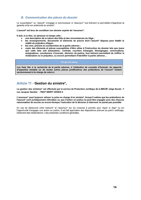# **B. Communication des pièces du dossier**

Le souscripteur\* ou l'assuré\* s'engage à communiquer à l'assureur\* tout élément lui permettant d'apprécier la garantie et la non antériorité du sinistre\*.

L'assuré\* est tenu de constituer son dossier auprès de l'assureur\*.

Il doit, à ce titre, lui adresser en temps utile :

- une description de la nature des faits et des circonstances du litige ;
- les renseignements, documents et éléments de preuve dont l'assuré\* dispose pour établir la réalité du préjudice alléqué :
- les nom, prénom et coordonnées de la partie adverse ;  $\bullet$
- copie des éléments et pièces susceptibles d'être utiles à l'instruction du dossier tels que (sans que cette liste soit exhaustive) : contrats, courriers échangés, témoignages, convocations, assignations, conclusions d'avocats, décision de justice, tout élément permettant de chiffrer la réclamation ou le préjudice, ou encore permettant d'identifier la partie adverse...

Ce qui est exclu

Les frais liés à la recherche de la partie adverse, à l'obtention de constats d'huissier, de rapports d'expertise amiable ou de toutes autres pièces justificatives des prétentions de l'assuré\* restent exclusivement à la charge de celui-ci.

# Article 11 - Gestion du sinistre\*.

La gestion des sinistres\* est effectuée par le service de Protection Juridique de la MACIF, siège Social - 1 rue Jacques Vandier - 79037 NIORT CEDEX 9.

L'assureur\* peut toujours refuser la prise en charge d'un sinistre\*, lorsqu'il estime que les prétentions de l'assuré\* sont juridiquement infondées ou que l'action en justice ne peut être engagée avec des chances raisonnables de succès ou encore lorsque l'exécution de la décision à intervenir ne parait pas possible.

En cas de désaccord entre l'assuré\* et l'assureur\* sur les mesures à prendre pour régler le litige\* ou sur l'opportunité d'engager une action en justice, il est fait application des dispositions prévues au point « arbitrage, traitement des réclamations » des présentes conditions générales.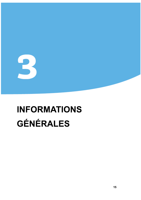# B

# **INFORMATIONS GÉNÉRALES**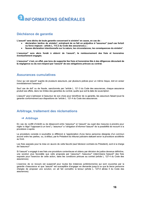

# Déchéance de garantie

- 
- 

L'assureur\* sera alors fondé à obtenir de l'assuré\*, le remboursement des frais et honoraires éventuellement engagés.

Déchéance de garantie<br>
L'assuré\* sera déchu de toute garantie concernant le sinistre\* en cause, en cas de :<br>
● déclaration tardive de sinistre\*, entraînant de ce fait un préjudice à l'assureur\* (sauf cas fortuit<br>
ou force L'assureur\* n'est, en effet, pas tenu de supporter les frais et honoraires liés à des diligences découlant de la négligence ou du non-respect par l'assuré\* de ses obligations prévues au contrat.

# **Assurances cumulatives**

Celui qui est assuré\* auprès de plusieurs assureurs, par plusieurs polices pour un même risque, doit en aviser immédiatement l'assureur\*.

Sauf cas de dol<sup>\*</sup> ou de fraude, sanctionnés par l'article L. 121-3 du Code des assurances, chaque assurance produit ses effets, dans les limites des garanties du contrat, quelle que soit la date de souscription.

L'assuré\* peut s'adresser à l'assureur de son choix pour bénéficier de la garantie, les assureurs faisant jouer la garantie conformément aux dispositions de l'article L. 121-4 du Code des assurances.

# Arbitrage, traitement des réclamations

# $\rightarrow$  Arbitrage

En cas de conflit d'intérêt ou de désaccord entre l'assureur\* et l'assuré\* (au sujet des mesures à prendre pour régler le litige\* l'opposant à un tiers\*), l'assureur\* a l'obligation d'informer l'assuré\* de la possibilité de recourir à la procédure ci-après.

La procédure consiste à soumettre le différend à l'appréciation d'une tierce personne désignée d'un commun accord entre les parties, ou, à défaut, par le Président du tribunal judiciaire statuant selon la procédure accélérée au fond.

Les frais exposés pour la mise en œuvre de cette faculté (sauf décision contraire du Président), sont à la charge de l'assureur\*.

Si l'assuré\* a engagé à ses frais une procédure contentieuse et obtenu par décision de justice devenue définitive, une solution plus favorable que celle proposée par l'assureur\*, l'assureur\* indemnisera l'assuré\* des frais exposés pour l'exercice de cette action, dans les conditions prévues au contrat (article L. 127-4 du Code des assurances).

L'exercice de ce recours est suspensif pour toutes les instances juridictionnelles qui sont couvertes par la garantie d'assurance et que l'assuré\* est susceptible d'engager en demande jusqu'à ce que la tierce personne chargée de proposer une solution, en ait fait connaître la teneur (article L. 127-4 alinéa 3 du Code des assurances).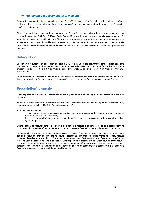#### → Traitement des réclamations et médiation

En cas de désaccord entre le souscripteur\* ou l'assuré\* et l'assureur\* à l'occasion de la gestion du présent contrat ou des règlements des sinistres, le souscripteur\* ou l'assuré\* doit d'abord faire valoir sa réclamation auprès du gestionnaire.

Si ce désaccord devait persister, le souscripteur\* ou l'assuré\* peut alors saisir la Médiation de l'assurance par courrier à l'adresse : TSA 50110 75441 Paris Cedex 09 ou par internet sur www.mediationassurance.org. En vertu de la charte de La Médiation de l'Assurance, le médiateur ne pourra examiner la demande que si le souscripteur\* ou l'assuré\* justifie avoir adressé, au préalable, une réclamation écrite, selon les modalités ci-dessus énoncées. La saisine de la Médiation doit intervenir dans un délai maximum d'un an à compter de cette dernière

# **Subrogation\***

L'assureur\* est subrogé, en application de l'article L. 121-12 du Code des assurances, dans les droits et actions que l'assuré\* pourrait avoir contre les tiers\* concernant les indemnités dues au titre de l'article 700 du Code de procédure civile, de l'article 475-1 du Code de procédure pénale ou de l'article L. 761-1 du Code des tribunaux administratifs.

Cette subrogation\* bénéficie à l'assureur\* à concurrence du montant des frais et honoraires réglés et/ou dus au titre de la garantie, après que l'assuré\* ait été désintéressé en priorité des frais et honoraires restés à sa charge.

# **Prescription\* biennale**

Il est rappelé que le délai de prescription\* est la période au-delà de laquelle une demande n'est plus recevable.

Toutes les actions dérivant d'un contrat d'assurance sont prescrites par deux ans à compter de l'événement qui y donne naissance (article L. 114-1 du Code des assurances).

Toutefois, ce délai ne court :

1 - en cas de réticence, omission, déclaration fausse ou inexacte sur le risque couru, que du jour où l'assureur\* en a eu connaissance :

2 - en cas de sinistre\*, que du jour où les intéressés en ont eu connaissance, s'ils prouvent qu'ils l'ont ignoré jusque-là.

Quand l'action de l'assuré\* contre l'assureur\* a pour cause le recours d'un tiers\*, le délai de la prescription\* ne court que du jour où ce tiers\* a exercé une action en justice contre l'assuré\* ou a été indemnisé par ce dernier.

La prescription est interrompue par une des causes ordinaires d'interruption de la prescription (reconnaissance par le débiteur du droit de celui contre lequel il prescrivait, demande en justice même en référé, mesure conservatoire prise en application du Code des procédures civiles d'exécution ou acte d'exécution forcée) et par la désignation d'experts à la suite d'un sinistre. L'interruption de la prescription de l'action peut, en outre, résulter de l'envoi d'une lettre recommandée ou d'un envoi recommandé électronique, avec accusé de réception, adressée par l'assureur\* à l'assuré\* en ce qui concerne l'action en paiement de la cotisation et par l'assuré\* à l'assureur\* en ce qui concerne le règlement de l'indemnité.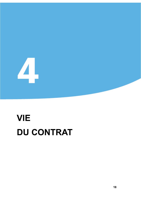

 $\overline{\Delta}$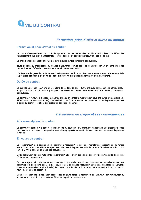

# Formation, prise d'effet et durée du contrat

#### Formation et prise d'effet du contrat

Le contrat d'assurance est conclu dès la signature, par les parties, des conditions particulières ou à défaut, dès l'établissement d'un écrit manifestant l'accord de l'assureur\* et du souscripteur\* sur ses modalités.

La prise d'effet du contrat s'effectue à la date stipulée sur les conditions particulières.

Toute addition ou modification au contrat d'assurance primitif doit être constatée par un avenant signé des parties. La date d'effet dudit avenant sera mentionnée dans celui-ci.

L'obligation de garantie de l'assureur\* est toutefois liée à l'exécution par le souscripteur\* du paiement de la première cotisation, de sorte que tout sinistre\* né avant ledit paiement ne sera pas garanti.

#### Durée du contrat

Le contrat est conclu pour une durée allant de la date de prise d'effet indiquée aux conditions particulières, jusqu'à la date de l'échéance principale\* expressément mentionnée également aux mêmes conditions particulières.

Le contrat est renouvelé à chaque échéance principale\* par tacite reconduction pour une durée d'un an (article L. 113-15 du Code des assurances), sauf résiliation par l'une ou l'autre des parties selon les dispositions prévues ci-après au point "Résiliation" des présentes conditions générales.

# Déclaration du risque et ses conséquences

# A la souscription du contrat

Le contrat est établi sur la base des déclarations du souscripteur\*, effectuées en réponse aux questions posées par l'assureur\*, au moyen d'un questionnaire, d'une proposition ou de tout autre document permettant d'apprécier le risque.

#### En cours de contrat

Le souscripteur\* doit spontanément déclarer à l'assureur\*, toutes les circonstances susceptibles de rendre inexacts ou caducs les éléments avant servi de base à l'appréciation du risque et à l'établissement du contrat (article L. 113-2 alinéa 3 du Code des assurances).

Cette déclaration doit être faite par le souscripteur\* à l'assureur\* dans un délai de quinze jours à partir du moment où il en a eu connaissance.

En cas d'aggravation du risque en cours de contrat (telle que, si les circonstances nouvelles avaient été déclarées lors de la conclusion ou du renouvellement du contrat, l'assureur\* n'aurait pas contracté ou l'aurait fait moyennant une cotisation plus élevée), l'assureur\* a la faculté, soit de dénoncer le contrat, soit de proposer un nouveau montant de cotisation.

Dans le premier cas, la résiliation prend effet dix jours après la notification et l'assureur\* doit rembourser au souscripteur\* la portion de cotisation afférente à la période non couverte.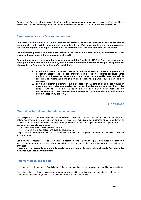Dans le deuxième cas et si le souscripteur\* refuse le nouveau montant de cotisation. l'assureur\* peut résilier le contrat dans le délai de trente jours à compter de la proposition (article L. 113-4 du Code des assurances).

# Sanctions en cas de fausse déclaration

Le contrat est nul (article L. 113-8 du Code des assurances), en cas de réticence ou fausse déclaration intentionnelle, de la part du souscripteur\*, susceptible de modifier l'objet du risque ou son appréciation par l'assureur\* (alors même que le risque omis ou dénaturé aurait été sans influence sur le sinistre\*).

Les cotisations payées demeurent alors acquises à l'assureur\*, qui a droit, en sus, au paiement de toutes les cotisations échues, à titre de dommages et intérêts.

En cas d'omission ou de déclaration inexacte du souscripteur\* (article L. 113-9 du Code des assurances). sans que sa mauvaise foi ait été établie, deux solutions différentes s'offrent, selon que l'irrégularité est découverte par l'assureur\* avant ou après le sinistre\* :

- 1. avant tout sinistre\*, l'assureur\* est fondé, soit à maintenir le contrat en augmentant la cotisation acceptée par le souscripteur\*, soit à résilier le contrat dix jours après notification adressée au souscripteur\* par lettre recommandée avec accusé de réception en restituant alors la portion de cotisation payée pour la période non couverte;
- 2. après un sinistre\*, l'indemnité due par l'assureur\* au titre de celui-ci, est réduite en proportion des cotisations payées par rapport à celles qui auraient été dues si les risques avaient été complètement et exactement déclarés. Cette réduction est applicable même si les circonstances inexactement déclarées n'ont aucune incidence sur la réalisation du sinistre\*.

**Cotisation** 

# Mode de calcul du montant de la cotisation

Sauf dispositions contraires prévues aux conditions particulières. le montant de la cotisation annuelle est déterminé, chaque année, en fonction du nombre d'assurés\* bénéficiant de la garantie au cours de l'exercice considéré, à savoir les adhérents professionnels personnes morales ou physiques du souscripteur\* répondant aux conditions cumulatives ci-après :

- se trouvant en activité\* professionnelle ;
- et étant à jour des cotisations dûes au souscripteur.

Il n'y a lieu à aucune régularisation en cours d'exercice. La cotisation appelée comprend les frais accessoires, les impôts et taxes.

Les éléments constitutifs de l'établissement de la cotisation sont communiqués par le souscripteur\* à l'assureur\* lors de l'établissement du contrat, puis, lors de chaque renouvellement, dans les 90 jours qui suivent l'échéance\* principale.

L'assureur\* se réserve la faculté de demander au souscripteur\* la mise à disposition de l'ensemble des éléments ayant servi à la tarification.

# Paiement de la cotisation

Les moyens de paiement et la périodicité du règlement de la cotisation sont précisés aux conditions particulières.

Sauf dispositions contraires expressement prévues aux conditions particulières, le souscripteur\* est seul tenu au paiement de la cotisation (article L. 112-1 alinéa 3 du Code des assurances).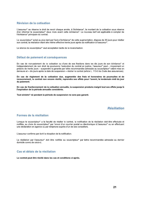# Révision de la cotisation

L'assureur\* se réserve le droit de revoir chaque année, à l'échéance\*, le montant de la cotisation sous réserve d'en informer le souscripteur\* deux mois avant cette échéance\*. Le nouveau tarif est applicable à compter de l'échéance\* principale du contrat.

Le souscripteur\* avisé au plus tard par l'avis d'échéance\* de cette augmentation, dispose de 30 jours pour résilier son contrat, la résiliation étant elle même effective trente jours après sa notification à l'assureur\*.

Le silence du souscripteur\* vaut acceptation tacite de la revalorisation.

# Défaut de paiement et conséquences

En cas de non-paiement de la cotisation ou d'une de ses fractions dans les dix jours de son échéance\* et indépendamment de son droit de poursuivre l'exécution du contrat en justice, l'assureur\* peut – moyennant un préavis de trente jours - suspendre la garantie par lettre recommandée adressée au souscripteur\* valant mise en demeure et – dix jours après la date de suspension – résilier le contrat (article L. 113-3 du Code des assurances).

En cas de règlement de la cotisation due, augmentée des frais et honoraires de poursuites et de recouvrement, le contrat non encore résilié, reprendra ses effets pour l'avenir, le lendemain midi du jour du paiement.

En cas de fractionnement de la cotisation annuelle, la suspension produira malgré tout ses effets jusqu'à l'expiration de la période annuelle considérée.

Tout sinistre\* né pendant la période de suspension ne sera pas garanti.

# **Résiliation**

# Formes de la résiliation

Lorsque le souscripteur\* a la faculté de résilier le contrat, la notification de la résiliation doit être effectuée et notifiée, au choix du souscripteur\* par l'envoi d'un courrier postal ou électronique à l'assureur\* ou en effectuant une déclaration en agence ou par téléphone auprès d'un de ses conseillers.

L'assureur confirme par écrit la réception de la notification.

La résiliation par l'assureur\* doit être notifiée au souscripteur\* par lettre recommandée adressée au dernier domicile connu de celui-ci.

# Cas et délais de la résiliation

Le contrat peut être résilié dans les cas et conditions ci-après.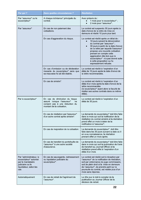| Par qui?                                                                                                                      | Dans quelles circonstances ?                                                                                                         | <b>Résiliation</b>                                                                                                                                                                                                                                                                                                                                                                      |
|-------------------------------------------------------------------------------------------------------------------------------|--------------------------------------------------------------------------------------------------------------------------------------|-----------------------------------------------------------------------------------------------------------------------------------------------------------------------------------------------------------------------------------------------------------------------------------------------------------------------------------------------------------------------------------------|
| Par l'assureur* ou le<br>souscripteur*                                                                                        | A chaque échéance* principale du<br>contrat.                                                                                         | Avec préavis de :<br>1 mois pour le souscripteur*;<br>2 mois pour l'assureur*.                                                                                                                                                                                                                                                                                                          |
| Par l'assureur*                                                                                                               | En cas de non-paiement des<br>cotisations.                                                                                           | Le contrat est suspendu 30 jours après la<br>date d'envoi de la lettre de mise en<br>demeure et résilié 10 jours plus tard.                                                                                                                                                                                                                                                             |
|                                                                                                                               | En cas d'aggravation du risque.                                                                                                      | Le contrat est résilié après un délai de :<br>10 jours suivant la dénonciation<br>du contrat par l'assureur*;<br>30 jours à partir de la date d'envoi<br>de la lettre par laquelle l'assureur*<br>propose une nouvelle cotisation<br>prenant en compte cette<br>aggravation dès lors que le<br>souscripteur* n'a pas donné suite<br>à cette proposition ou l'a<br>expressément refusée. |
|                                                                                                                               | En cas d'omission ou de déclaration<br>inexacte du souscripteur* sans que<br>sa mauvaise foi ait été établie.                        | Le contrat est résilié à l'expiration d'un<br>délai de 10 jours après la date d'envoi de<br>la lettre recommandée.                                                                                                                                                                                                                                                                      |
|                                                                                                                               | En cas de sinistre*.                                                                                                                 | Le contrat est résilié à l'expiration d'un<br>délai d'un mois après la date d'envoi de la<br>lettre recommandée<br>(le souscripteur* ayant alors la faculté de<br>résilier ses autres contrats dans ce même<br>délai).                                                                                                                                                                  |
| Par le souscripteur*                                                                                                          | En cas de diminution du risque<br>lorsque l'assureur*<br>assuré<br>ne<br>consent pas à une réduction du<br>montant de la cotisation. | Le contrat est résilié à l'expiration d'un<br>délai de 30 jours.                                                                                                                                                                                                                                                                                                                        |
|                                                                                                                               | En cas de résiliation par l'assureur*<br>d'un autre contrat après sinistre*.                                                         | La demande du souscripteur* doit être faite<br>dans le mois qui suit la notification de la<br>résiliation du contrat sinistré et la résiliation<br>prend effet un mois à dater de la<br>notification à l'assureur*.                                                                                                                                                                     |
|                                                                                                                               | En cas de majoration de la cotisation.                                                                                               | La demande du souscripteur* doit être<br>faite dans les 30 jours suivant la date où il<br>en a eu connaissance, la résiliation<br>prenant effet un mois après.                                                                                                                                                                                                                          |
|                                                                                                                               | En cas de transfert du portefeuille de<br>l'assureur* à une autre société<br>d'assurance.                                            | La demande du souscripteur* doit être faite<br>dans le mois qui suit la publication de l'avis<br>de transfert au Journal Officiel et la<br>résiliation prend effet à l'expiration d'un<br>délai d'un mois.                                                                                                                                                                              |
| Par l'administrateur, le<br>souscripteur* autorisé<br>par le mandataire<br>judiciaire ou le<br>liquidateur, selon les<br>cas. | En cas de sauvegarde, redressement<br>ou liquidation judiciaire du<br>souscripteur*.                                                 | Le contrat est résilié soit à réception par<br>l'assureur* de la notification de résiliation,<br>soit par ordonnance du juge commissaire,<br>soit de plein droit si la mise en demeure<br>de l'assureur*, de prendre parti sur la<br>poursuite du contrat, est restée plus d'un<br>mois sans réponse.                                                                                   |
| Automatiquement                                                                                                               | En cas de retrait de l'agrément de<br>l'assureur*.                                                                                   | Le 40e jour à midi à compter de la<br>publication au Journal Officiel de la<br>décision de retrait.                                                                                                                                                                                                                                                                                     |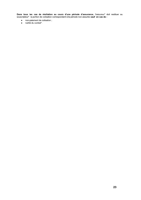Dans tous les cas de résiliation au cours d'une période d'assurance, l'assureur\* doit restituer au souscripteur\* la portion de cotisation correspondant à la période non assurée sauf en cas de :

- non-paiement de cotisation;  $\bullet$
- $\bullet$ nullité du contrat\*.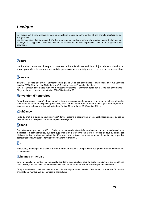# Lexique

Ce lexique est à votre disposition pour une meilleure lecture de votre contrat et une parfaite appréciation de vos garanties.

Les termes ainsi définis, souvent d'ordre technique ou juridique sortent du langage courant, donnent un éclairage sur l'application des dispositions contractuelles. Ils sont repérables dans le texte grâce à un astérisque\*.

# **Assuré**

L'entreprise, personne physique ou morale, adhérente du souscripteur, à jour de sa cotisation au souscripteur dans le cadre de son activité professionnelle et désignée comme telle par le souscripteur.

# **Assureur**

THEMIS – Société anonyme – Entreprise régie par le Code des assurances – siège social sis 1 rue Jacques Vandier 79000 Niort, société filiale de la MACIF, spécialisée en Protection Juridique. MACIF - Société d'assurance mutuelle à cotisations variables - Entreprise régie par le Code des assurances -Siège social sis 1 rue Jacques Vandier 79037 Niort cedex 09.

# **Convention d'honoraires**

Contrat signé entre l'assuré\* et son avocat qui précise, notamment, le montant ou le mode de détermination des honoraires couvrant les diligences prévisibles, ainsi que les divers frais et débours envisagés. Sauf urgence ou force maieure, cette convention est obligatoire (article 10 de la loi du 31 décembre 1971).

# **Déchéance**

Perte du droit à la garantie pour un sinistre\* donné, lorsqu'elle est prévue par le contrat d'assurance et au cas où l'assuré\* ou le souscripteur\* ne respecte pas ses obligations.

# **Dépens**

Frais (énumérés par l'article 695 du Code de procédure civile) générés par des actes ou des procédures d'ordre judiciaires ou administratives, qui sont supportés par la personne qui perd le procès en tout ou partie, par décision de justice devenue exécutoire. Exemple : droits, taxes, redevances et émoluments perçus par les secrétariats des juridictions, honoraires des experts judiciaires...

# Dol

Manœuvre, mensonge ou silence sur une information visant à tromper l'une des parties en vue d'obtenir son consentement.

# Echéance principale

Date à laquelle le contrat est renouvelé par tacite reconduction pour la durée mentionnée aux conditions particulières, sauf résiliation par l'une ou l'autre des parties selon les formes et délais prévus au contrat.

Chaque échéance principale détermine le point de départ d'une période d'assurance. La date de l'échéance principale est mentionnée aux conditions particulières.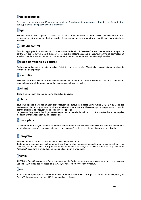# **Frais irrépétibles**

Frais non compris dans les dépens\* et qui sont mis à la charge de la personne qui perd le procès en tout ou partie, par décision de justice devenue exécutoire.

# Litiae

Situation conflictuelle opposant l'assuré\* à un tiers\*, dans le cadre de son activité\* professionnelle, et le conduisant à faire valoir un droit, à résister à une prétention ou à défendre un intérêt, par voie amiable ou judiciaire.

# Nullité du contrat

Sanction appliquée à un assuré\* qui fait une fausse déclaration à l'assureur\*, dans l'intention de le tromper. Le contrat est censé n'avoir jamais existé et les cotisations restent acquises à l'assureur\* à titre de dommages et intérêts. De même, celui-ci est en droit de réclamer le remboursement des indemnités déjà versées.

# Période de validité du contrat

Période comprise entre la date de prise d'effet du contrat et, après d'éventuelles reconductions, sa date de résiliation ou d'expiration.

# Prescription

Extinction d'un droit résultant de l'inaction de son titulaire pendant un certain laps de temps. Délai au-delà duquel toute action dérivant du présent contrat d'assurance n'est plus recevable.

# **Sachant**

Technicien ou expert dans un domaine particulier du savoir.

# **Sinistre**

Tout refus opposé à une réclamation dont l'assuré\* est l'auteur ou le destinataire (Article L. 127-2-1 du Code des assurances). Le refus peut résulter d'une manifestation concrète du désaccord (par exemple un écrit) ou du silence persistant de l'assuré\* ou de celui du tiers\* sollicité.

La garantie s'applique à des litiges survenus pendant la période de validité du contrat, c'est-à-dire après sa prise d'effet et avant sa résiliation ou sa suspension.

# Souscripteur

La personne morale ayant souscrit au présent contrat dans le but d'en faire bénéficier tout adhérent répondant à la définition de l'assuré\* ci-dessus indiquée. Le souscripteur\* est tenu au paiement intégral de la cotisation.

# **Subrogation**

Substitution de l'assureur\* à l'assuré\* dans l'exercice de ses droits. Toute somme obtenue en remboursement des frais et des honoraires exposés pour le règlement du litige bénéficie, par priorité, à l'assuré\* pour les dépenses restées à sa charge et, subsidiairement, en ce qui concerne l'assureur\*, ceci dans la limite des sommes que l'assureur\* a engagées.

# **Thémis**

THEMIS - Société anonyme - Entreprise régie par le Code des assurances - siège social sis 1 rue Jacques Vandier 79000 Niort, société filiale de la MACIF, spécialisée en Protection Juridique.

# **Tiers**

Toute personne physique ou morale étrangère au contrat c'est à dire autre que l'assureur\*, le souscripteur\*, ou l'assuré\*. Les assurés\* sont considérés comme tiers entre eux.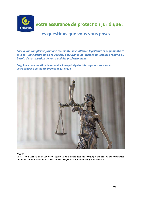

Votre assurance de protection juridique :

Votre assurance de protection juridique :<br>
les questions que vous vous posez<br>
face à une complexité juridique croissante, une inflation législative et réglementaire<br>
et à la judiciarisation de la société, l'assurance de pr



Thémis

Déesse de la Justice, de la Loi et de l'Équité, Thémis assiste Zeus dans l'Olympe. Elle est souvent représentée tenant les plateaux d'une balance avec laquelle elle pèse les arguments des parties adverses.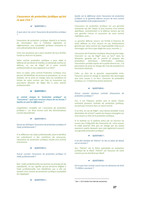#### L'assurance de protection juridique qu'est ce que c'est ?

#### **QUESTION 1:**

A quoi peut me servir l'assurance de protection juridique

L'assurance de protection juridique répond à un besoin de sécurisation face à l'inflation législative et réglementaire, une complexité juridique croissante et une judiciarisation de la société.

C'est une assurance qui a pour vocation de vous faciliter l'accès au droit et à la justice.

Votre contrat protection juridique a pour objet la défense de vos droits et intérêts, en demande comme en défense, en cas de litige\* lié à votre activité professionnelle et vous opposant à un tiers\*.

Dans ce cadre, votre contrat Protection Juridique vous permet de bénéficier de services et prestations et, le cas échéant, de la prise en charge, dans les conditions et limites de votre contrat, des frais et honoraires qui pourraient découler de litiges liés à votre activité professionnelle.

#### **QUESTION 2:**

Le contrat évoque la "protection juridique" ou "l'assurance" : quel sens recouvre chacun de ces termes ? Quelles en sont les différences ?

L'appellation complète est « assurance de protection juridique ». Les deux termes sont des dénominations courtes équivalentes.

#### **QUESTION 3:**

Qu'est qui distingue l'assurance de protection juridique et l'aide juridictionnelle ?

A la différence de l'aide juridictionnelle, dont le bénéfice est subordonné à des conditions de ressources, l'assurance de protection juridique résulte d'un contrat d'assurance.

#### **OUESTION 4:**

Puis-je cumuler l'assurance de protection juridique et l'aide juridictionnelle ?

Non. L'aide juridictionnelle est soumise au principe dit de subsidiarité, ce qui signifie qu'une personne éligible à l'aide juridictionnelle n'en bénéficiera pas si elle est titulaire d'un contrat de protection juridique susceptible de s'appliquer.

**QUESTION 5:** 

Quelle est la différence entre l'assurance de protection juridique et la garantie défense recours de mon contrat responsabilité civile professionnelle ?

L'assurance de protection juridique est une garantie autonome qui fait l'objet, le plus souvent, d'un contrat spécifique, contrairement à la défense recours qui est une garantie incluse et accessoire de votre contrat Habitation, auto ...

La garantie défense recours est limitée à l'exercice de votre défense ou d'un recours en cas d'événements garantis par votre contrat (en responsabilité civile ou en dommages aux biens type dégât des eaux, incendie...).

L'assurance de Protection Juridique, beaucoup plus large, intervient en cas de litige\* avec un tiers\* dans les domaines garantis par le contrat et propose des prestations techniques (information juridique, intervention amiable auprès de la partie adverse etc...) et pécuniaires (la prise en charge des frais de procédure et honoraires d'avocat).

Enfin, au titre de la garantie responsabilité civile, l'assureur prend en charge la réparation des dommages que vous causez à un tiers. L'assureur de protection juridique, lui, n'indemnise jamais personne.

#### **QUESTION 6:**

Puis-je cumuler plusieurs contrats d'assurance de protection juridique ?

Oui. Il est fréquent, parfois sans le savoir, d'avoir contracté plusieurs contrats de protection juridique, souvent par inclusion dans un autre contrat.

A ce titre, en cas de litige\*, vous devrez procéder à une déclaration de sinistre\* auprès de chaque compagnie qui vous assure au titre de la protection juridique.

Si le barème ou le plafond prévu par un assureur ne couvre pas l'intégralité des honoraires de votre avocat, le solde pourrait être pris en charge par les autres assureurs auprès desquels vous avez également souscrit une garantie protection juridique<sup>1</sup>.

#### **IF QUESTION 7:**

Il est fait mention de Thémis\* en lieu et place de Macif, est-ce normal ?

Oui. Thémis\* est la filiale spécialisée en protection juridique de la Macif. Thémis\* est l'assureur de votre contrat qui est distribué par Macif.

#### **QUESTION 8:**

Est-ce que mon contrat couvre tous les domaines du droit ? A défaut, pourauoi ?

 $1$  (art. L. 121-4 alinéa 4 du Code des assurances).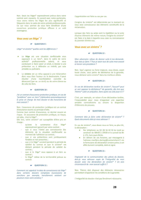Non. Seuls les litiges\* expressément prévus dans votre contrat sont couverts. En accord avec notre partenaire. nous avons retenu les litiges les plus significatifs et fréquents dans le cadre de votre activité professionnelle. Ce qui nous permet de vous faire bénéficier d'une couverture protection juridique efficace à un coût avantageux.

#### Vous avez un litige<sup>\*</sup>?

#### **IF QUESTION 9:**

Litige\* et sinistre\* quelles sont les différences ?

- Le litige est une situation conflictuelle vous opposant à un tiers\*, dans le cadre de votre activité\* professionnelle salarié, et vous conduisant à faire valoir un droit, à résister à une prétention ou à défendre un intérêt, par voie amiable ou judiciaire.
- Le sinistre est un refus opposé à une réclamation dont vous êtes l'auteur ou le destinataire. Il peut résulter d'une manifestation concrète du désaccord (par ex. un écrit) ou de votre silence ou de celui du tiers.

#### **IF QUESTION 10:**

J'ai un contrat d'assurance protection juridique, en cas de "problème" avec un tiers\* j'obtiendrai automatiquement la prise en charge de mon dossier et des honoraires de mon avocat?

Non. L'assurance de protection juridique est un contrat d'assurance soumis au principe d'aléa.

Comme tout contrat d'assurance, ce dernier couvre un risque. En assurance de protection juridique, ce risque, cet aléa, c'est le litige\*.

Dès lors, votre sinistre\* est susceptible d'être pris en charge :

- $|a|$ survenance d'un litige\* qu'avec expressément garanti par votre contrat ;
- que si vous n'aviez pas connaissance des éléments de la situation conflictuelle au moment de l'adhésion au contrat ;
- que si vos prétentions sont juridiquement fondées et non prescrites ;
- que si le litige\* survient pendant la période de validité du contrat et que le sinistre\* est déclaré pendant la période de validité du contrat;
- que si le litige\* vous oppose à un tiers au contrat;
- le litige\* relève de la territorialité prévue au contrat.

#### **QUESTION 11:**

Comment est apprécié la date de connaissance du litige\* dans certains dossiers complexes (successions de sanctions par exemple, harcèlement existant sur plusieurs mois voire années) ?

L'appréciation est faite au cas par cas.

L'origine du sinistre\* est déterminée par le moment où vous avez connaissance des éléments constitutifs de la réclamation.

Lorsque des faits ou actes sont la répétition ou la suite d'autres éléments de même nature. l'origine du sinistre\* est fixée à la date à laquelle vous avez eu connaissance du premier d'entre eux.

#### Vous avez un sinistre<sup>\*</sup>?

#### **IF** QUESTION 12:

Mon adversaire refuse de donner suite à ma demande. Que dois-je faire ? Puis-je saisir tout de suite mon avocat et lancer une procédure ?

Non. Sauf urgence ou force majeure, vous devez, avant toute chose, sous peine de déchéance de la garantie, nous déclarer votre sinistre\* dans les meilleurs délais.

#### **QUESTION 13:**

En cas de déclaration tardive de sinistre\*, l'assuré\* peut se voir opposer la déchéance\* de garantie, dès lors que Thémis\* subit un préjudice. Dans quels cas cela joue-t-il ?

C'est, par exemple, en raison d'une déclaration tardive, l'impossibilité pour nous d'organiser une expertise amiable contradictoire ou encore la disparition d'éléments de preuves.

#### **IF QUESTION 14:**

Comment dois je faire cette déclaration de sinistre\* ? Quels documents dois-je vous adresser ?

En cas de sinistre\*, vous devez nous en faire, au plus tôt, la déclaration :

- Par téléphone au 02 28 34 32 32 du lundi au vendredi de 08h00 à 19h00 et le samedi de 8h à 17h, hors jours fériés.
- En dehors de ces horaires, par messagerie à l'adresse macifpro.declapi@contactclient.fr via le formulaire de déclaration sinistre prévu à cet effet dument complété, daté et signé.

#### **IF QUESTION 15:**

S'agissant de la communication des pièces du dossier, dois-je vous adresser copie de l'intégralité de mon dossier avec ma déclaration de sinistre\* ? Un avis circonstancié de mon avocat suffit-il ?

Non. Thémis doit disposer des éléments nécessaires permettant d'apprécier les conditions de la garantie.

L'intégralité du dossier n'est pas forcément nécessaire.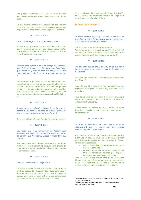Nos juristes réclament, le cas échéant et le moment venu, la copies des pièces complémentaires dont ils ont besoin.

Un avis d'avocat même circonstancié n'est pas suffisant pour disposer des éléments nécessaires permettant d'apprécier les conditions de mise en jeu de la garantie.

#### **IF QUESTION 16:**

Qu'est ce que les frais de constitution du dossier ?

Il peut s'agir, par exemple, de frais de photocopies, d'envoi éventuel par courrier des pièces du dossier, d'un procès-verbal amiable de constat d'huissier... Ces frais restent toujours à votre charge.

#### **IF QUESTION 17:**

Thémis\* peut refuser la prise en charge d'un sinistre\*, lorsqu'elle estime que mes prétentions sont infondées ou que l'action en justice ne peut être engagée avec des chances de succès. Quels critères de réussite sont retenus  $\overline{P}$ 

Toute procédure judiciaire est, par définition, aléatoire. L'appréciation est au cas par cas selon les éléments du dossier : présence ou absence d'éléments de preuves matérielles, fondements juridiques de votre position et/ou de celle la partie adverse, éléments juridiques contextuels du dossier, jurisprudence, solvabilité du tiers etc....

#### **OUESTION 18:**

A quel moment Thémis\* prévient-elle de la prise en charge ou du refus de la prise en charge ? Dans quel délai à compter de la transmission du dossier ?

Dans les meilleurs délais eu égard à l'urgence du dossier.

#### **IF QUESTION 19:**

Que veut dire « les prétentions de l'assuré sont juridiquement fondées » ? Cela signifie que ne sont prises en compte que les affaires jugées « gagnantes » par Thémis ?

Non. Vos prétentions doivent reposer sur des bases juridiques qui permettent de soutenir valablement, en droit, votre position c'est-à-dire présenter des chances raisonnables de succès.

#### **IF QUESTION 20:**

La phase amiable est-elle obligatoire ?

La phase amiable dépend des éléments de fait et de droit du dossier. Si à l'examen des pièces transmises, il apparaît que la phase amiable n'a plus d'intérêt. le dossier sera traité directement en phase contentieuse (par exemple, en cas de procédure prud'homale).

Dans certains cas, la loi exige que le demandeur justifie d'une tentative de résolution amiable du litige pour pouvoir saisir certaines juridictions.

#### Et avec mon avocat?

#### **QUESTION 21:**

La phase amiable n'ayant pas abouti, il faut aller en procédure. Je dois saisir un avocat pour me représenter. Puis-je choisir l'avocat de mon choix ?

Qui. Vous avez le libre choix de votre avocat. Pour le cas où vous ne connaitriez pas d'avocat, Thémis\* peut vous proposer le nom d'un avocat à la condition de nous en faire expressément la demande par écrit<sup>2</sup>.

#### **QUESTION 22:**

Une fois mon avocat choisi et saisi, est-ce que j'ai la liberté de mener mon dossier comme je l'entends avec mon avocat?

Vous êtes seul directeur de votre procès en concertation avec Thémis\*.

Nous devons être tenu informés, au préalable, des diligences envisagées et avisés régulièrement de la procédure.

Vous devez nous faire parvenir, le moment venu, copie des actes importants de la procédure : assignation, conclusions et jugement...

Durant toute la procédure, nous restons à votre disposition et à celle de votre avocat pour vous assister si vous le souhaitez.

#### **QUESTION 23:**

Les frais et honoraires de mon avocat seront-ils intégralement pris en charge par mon contrat d'assurance protection juridique ?

Si la phase amiable n'aboutit pas favorablement, et que la garantie est acquise, nous prenons en charge<sup>3</sup>, devant les juridictions judiciaires ou administratives, les frais et honoraires de procédure :

- dans la limite d'un plafond global maximum de dépenses par sinistre\*.
- et selon un barème de remboursements des frais et honoraires d'avocat par diligence. procédure, intervention ou juridiction.

Dans ce cadre, votre avocat établit une convention d'honoraires\* qui précise, notamment, le montant et le mode de détermination des ses honoraires et la présence d'une assurance de Protection Juridique.

<sup>&</sup>lt;sup>2</sup> Obligation légale. Article 2 de la Loi du 19 février 2007. Article L. 127-3 du Code des assurances.

<sup>&</sup>lt;sup>3</sup> Dans les limites et conditions prévues aux conditions générales et particulières de votre contrat.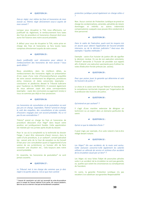#### **QUESTION 24:**

Dois-je régler moi même les frais et honoraires de mon avocat ou Thémis règle directement ceux-ci auprès de mon conseil?

Lorsque vous récupérez la TVA, nous effectuons, sur justificatif du règlement, le remboursement hors taxes des frais de procédure et honoraires d'avocat dont vous aurez fait l'avance avec notre accord préalable.

A défaut pour vous de récupérer la TVA, notre prise en charge des frais et honoraires se fera toutes taxes comprises directement auprès de votre avocat.

#### **QUESTION 25:**

Quels justificatifs sont nécessaires pour obtenir le remboursement des honoraires de mon avocat ? Sous quels délais ?

Nous procédons, dans les meilleurs délais, au remboursement des honoraires réglés sur présentation d'une copie d'une note d'honoraires/facture acquittée de votre avocat mentionnant les diligences, procédures et/ou instances et dates concernées (exemples : conclusions et plaidoiries devant le Tribunal Judiciaire pour l'audience du 00/00/2021). Il convient également de nous adresser copie des actes correspondants (exemples : copie des conclusions ou jugement rendu) si nous ne sommes pas déjà en leur possession.

#### **QUESTION 26: Includes**

Les honoraires de consultation et de postulation ne sont pas pris en charge. Cependant, Thémis\* prend en charge le coût des enquêtes, des consultations et des constats d'huissiers engagés avec son accord préalable. N'y a t-il pas là une contradiction?

Thémis\* prend en charge les frais et honoraires de procédure découlant d'un litige\* dans lequel votre position est juridiquement fondée. Cette appréciation est réalisée par nos juristes après étude du dossier.

Pour le cas où la complexité ou la technicité du dossier l'exige, il peut être nécessaire d'avoir recours, dans le cadre d'une procédure, à un sachant\*, conseil spécialisé (ex : avocat près de la Cour de cassation ou du Conseil d'Etat pour une consultation quant à l'opportunité d'une saisine de ces juridictions), un huissier afin de faire constater une situation etc... Cela toujours avec notre accord préalable.

En revanche, les honoraires de postulation<sup>4</sup> ne sont jamais couverts.

#### **QUESTION 27:**

Le Tribunal met à ma charge des sommes que je dois régler à la partie adverse. Est-ce que mon contrat

protection juridique prend également en charge celles-ci

Non. Aucun contrat de Protection Juridique ne prend en charge les condamnations, amendes, pénalités de retard, dommages et intérêts ou autres indemnités compensatoires auxquels vous pouvez être condamnés à titre personnel.

#### **QUESTION 28:**

Dans le cadre de l'exécution, quels sont les moyens mis en œuvre pour obtenir l'application de l'accord amiable intervenu ou de la décision judiciaire ? Avez-vous des exemples ? Quelles méthodes ?

Exemple : saisie d'un huissier de justice afin de signifier la décision rendue. En cas de non exécution volontaire, Thémis\* demande à l'huissier de procéder aux rappels afin d'obtenir une exécution spontanée puis d'utiliser les voies d'exécution forcée prévues (ex. saisies).

#### **IF QUESTION 29:**

Pour que puisse jouer la garantie qui détermine et saisi les huissiers de justice ?

Le choix et la saisie sont fait par Thémis\* en fonction de la compétence territoriale imposée par l'organisation de la profession des huissiers de justice.

#### QUESTION 30:

Qu'entend-on par sachant\*?

Il s'agit d'une manière extensive de désigner un technicien ou un expert dans un domaine particulier du savoir.

#### **QUESTION 31:**

Qu'est ce que la rédaction d'acte ?

Il peut s'agir, par exemple, d'un acte notarié c'est-à-dire rédigé devant notaire.

#### **QUESTION 32:**

Les litiges\* liés aux accidents de la route sont exclus. Cette exclusion concerne-t-elle également les salariés utilisant un véhicule de service et victimes d'un accident de la circulation causé par un tiers\*?

Les litiges où vous faites l'objet de poursuites pénales suite à un accident de la circulation ne sont pas garantis, ce, quelles que soient les circonstances ou conséquences de l'accident.

En outre, la garantie Protection Juridique n'a pas vocation à se substituer aux garanties Responsabilité

<sup>&</sup>lt;sup>4</sup> L'avocat dit «postulant» est celui qui accomplit les actes de procédure pour le compte de l'avocat habituel d'une partie, dit «avocat plaidant», dans les cas où ce dernier n'est pas territorialement compétent.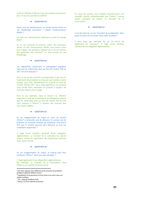Civile et Défense et Recours qui ont vocation à intervenir pour le cas où vous êtes la victime<sup>5</sup>.

#### **QUESTION 33:**

Quels sont les interlocuteurs, en temps normal et/ou en cas d'arbitrage nécessaire ? S'agit-il d'interlocuteurs dédiés ?

Ce sont vos interlocuteurs habituels au sein du Groupe Macif.

En ce qui concerne le parcours client, des processus ad'hoc et des interlocuteurs dédiés sont prévus selon qu'il s'agisse de questions relevant de la vie du contrat, des garanties, des sinistres\* ou bien encore en cas d'arbitrage.

#### **QUESTION 34**

Les dispositions concernant la subrogation<sup>6</sup> signifient elles que les indemnités dues au titre de l'article 700 du CPC<sup>7</sup> me sont acquises ?

Pour le cas où des sommes correspondant à des frais et honoraires de procédure ou d'avocat sont restées à votre charge, vous êtes désintéressé en priorité au titre de l'article 700 du CPC<sup>8</sup>. Dans cette hypothèse, ces sommes vous seront donc adressées en priorité à hauteur du montant resté à votre charge.

Pour le cas contraire, dans la mesure où Thémis\* supporte le coût de la procédure, la subrogation prévoit que les indemnités dues au titre de l'article 700 du CPC sont acquises à Thémis\* à hauteur des sommes que nous avons réglées.

#### **IF QUESTION 35:**

En cas d'aggravation du risque en cours de contrat Thémis\* a la faculté, soit de dénoncer le contrat, soit de proposer un nouveau montant de cotisation. Cela veut-il dire que le contrat pourrait être dénoncé ou voir ses cotisations augmenter?

Il s'agit d'une mention résultant d'une obligation réglementaire. Le montant de la cotisation est calculé chaque année en application des dispositions prévues dans votre contrat.

#### **II'** QUESTION 36 :

En cas d'aggravation du risque, le contrat peut être résilié par Thémis\*. Avez-vous des exemples ?

Il s'agit également d'une disposition réglementaire. Par exemple, au moment de la souscription, vous déclarez une activité professionnelle.

En cours de contrat, vous changez d'activité pour une nouvelle activité professionnelle que Thémis\* n'aurait jamais acceptée de couvrir au moment de la souscription.

#### **IF QUESTION 37:**

Il est fait état du cas de "transfert de portefeuille". Dans quels cas peut-on se trouver dans cette situation?

Il peut s'agir, par exemple, du cas de retrait de l'agrément de l'assureur\*. Il s'agit d'une mention résultant d'une obligation réglementaire.

<sup>&</sup>lt;sup>5</sup>Voir avant s'agissant de la différence entre assurance de protection juridique et garantie défense recours.

 $^6$  Substitution d'une personne ou d'une chose à une autre, dans une relation juridique.

<sup>7</sup> CPC : Code de Procédure Civile.

<sup>&</sup>lt;sup>8</sup> Article L127-8 du Code des assurances.